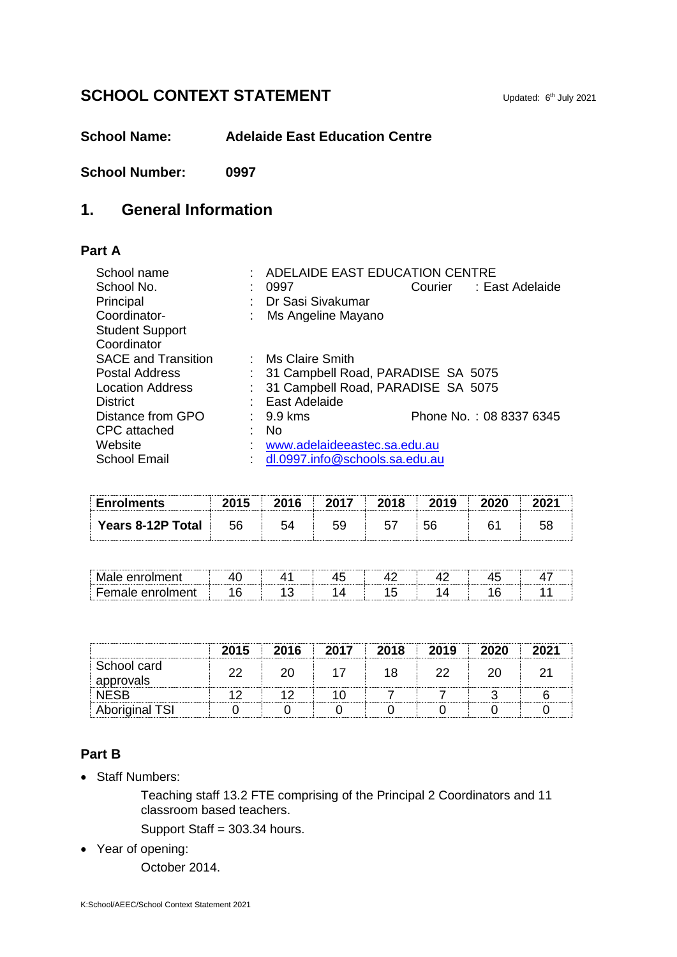# **SCHOOL CONTEXT STATEMENT**

**School Name: Adelaide East Education Centre**

**School Number: 0997**

## **1. General Information**

#### **Part A**

| School name                | ADELAIDE EAST EDUCATION CENTRE       |  |                         |  |  |
|----------------------------|--------------------------------------|--|-------------------------|--|--|
| School No.                 | 0997                                 |  | Courier : East Adelaide |  |  |
| Principal                  | Dr Sasi Sivakumar                    |  |                         |  |  |
| Coordinator-               | : Ms Angeline Mayano                 |  |                         |  |  |
| <b>Student Support</b>     |                                      |  |                         |  |  |
| Coordinator                |                                      |  |                         |  |  |
| <b>SACE and Transition</b> | : Ms Claire Smith                    |  |                         |  |  |
| <b>Postal Address</b>      | : 31 Campbell Road, PARADISE SA 5075 |  |                         |  |  |
| <b>Location Address</b>    | 31 Campbell Road, PARADISE SA 5075   |  |                         |  |  |
| <b>District</b>            | : East Adelaide                      |  |                         |  |  |
| Distance from GPO          | $\therefore$ 9.9 kms                 |  | Phone No.: 08 8337 6345 |  |  |
| CPC attached               | No.                                  |  |                         |  |  |
| Website                    | www.adelaideeastec.sa.edu.au         |  |                         |  |  |
| <b>School Email</b>        | dl.0997.info@schools.sa.edu.au       |  |                         |  |  |

| <b>Enrolments</b>        |     |  |    | 2019 |  |
|--------------------------|-----|--|----|------|--|
| <b>Years 8-12P Total</b> | -56 |  | 57 | 56   |  |

| - - -<br>- - - |  |  |  |  |
|----------------|--|--|--|--|
| -              |  |  |  |  |

|                          | 2015 | 2016 | 2017 | 2018 | 2019 | 2020 |  |
|--------------------------|------|------|------|------|------|------|--|
| School card<br>approvals |      |      |      |      |      |      |  |
| <b>NFSB</b>              |      |      |      |      |      |      |  |
| <b>Aboriginal TSI</b>    |      |      |      |      |      |      |  |

#### **Part B**

• Staff Numbers:

Teaching staff 13.2 FTE comprising of the Principal 2 Coordinators and 11 classroom based teachers.

Support Staff = 303.34 hours.

Year of opening:

October 2014.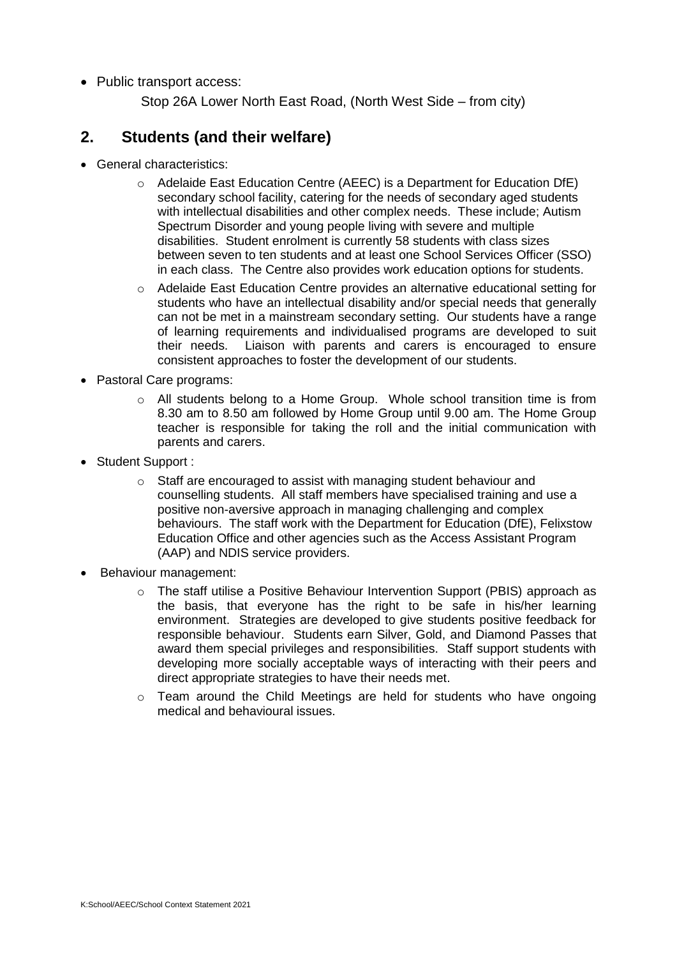• Public transport access:

Stop 26A Lower North East Road, (North West Side – from city)

### **2. Students (and their welfare)**

- General characteristics:
	- o Adelaide East Education Centre (AEEC) is a Department for Education DfE) secondary school facility, catering for the needs of secondary aged students with intellectual disabilities and other complex needs. These include; Autism Spectrum Disorder and young people living with severe and multiple disabilities. Student enrolment is currently 58 students with class sizes between seven to ten students and at least one School Services Officer (SSO) in each class. The Centre also provides work education options for students.
	- o Adelaide East Education Centre provides an alternative educational setting for students who have an intellectual disability and/or special needs that generally can not be met in a mainstream secondary setting. Our students have a range of learning requirements and individualised programs are developed to suit their needs. Liaison with parents and carers is encouraged to ensure consistent approaches to foster the development of our students.
- Pastoral Care programs:
	- $\circ$  All students belong to a Home Group. Whole school transition time is from 8.30 am to 8.50 am followed by Home Group until 9.00 am. The Home Group teacher is responsible for taking the roll and the initial communication with parents and carers.
- Student Support :
	- o Staff are encouraged to assist with managing student behaviour and counselling students. All staff members have specialised training and use a positive non-aversive approach in managing challenging and complex behaviours. The staff work with the Department for Education (DfE), Felixstow Education Office and other agencies such as the Access Assistant Program (AAP) and NDIS service providers.
- Behaviour management:
	- o The staff utilise a Positive Behaviour Intervention Support (PBIS) approach as the basis, that everyone has the right to be safe in his/her learning environment. Strategies are developed to give students positive feedback for responsible behaviour. Students earn Silver, Gold, and Diamond Passes that award them special privileges and responsibilities. Staff support students with developing more socially acceptable ways of interacting with their peers and direct appropriate strategies to have their needs met.
	- o Team around the Child Meetings are held for students who have ongoing medical and behavioural issues.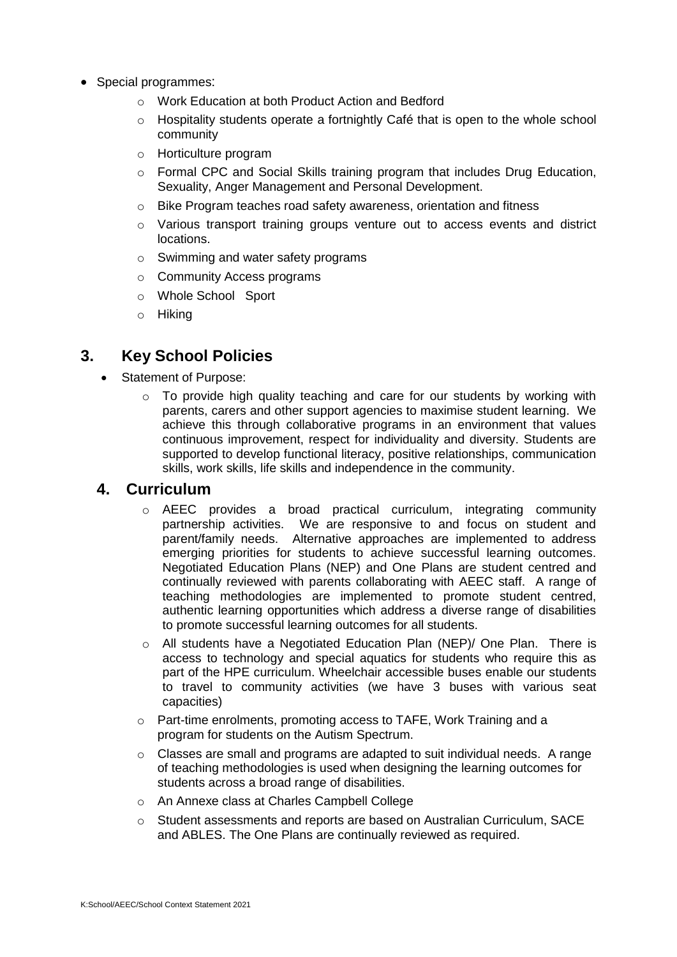- Special programmes:
	- o Work Education at both Product Action and Bedford
	- o Hospitality students operate a fortnightly Café that is open to the whole school community
	- o Horticulture program
	- $\circ$  Formal CPC and Social Skills training program that includes Drug Education, Sexuality, Anger Management and Personal Development.
	- o Bike Program teaches road safety awareness, orientation and fitness
	- o Various transport training groups venture out to access events and district locations.
	- o Swimming and water safety programs
	- o Community Access programs
	- o Whole School Sport
	- o Hiking

# **3. Key School Policies**

- Statement of Purpose:
	- $\circ$  To provide high quality teaching and care for our students by working with parents, carers and other support agencies to maximise student learning. We achieve this through collaborative programs in an environment that values continuous improvement, respect for individuality and diversity. Students are supported to develop functional literacy, positive relationships, communication skills, work skills, life skills and independence in the community.

#### **4. Curriculum**

- o AEEC provides a broad practical curriculum, integrating community partnership activities. We are responsive to and focus on student and parent/family needs. Alternative approaches are implemented to address emerging priorities for students to achieve successful learning outcomes. Negotiated Education Plans (NEP) and One Plans are student centred and continually reviewed with parents collaborating with AEEC staff. A range of teaching methodologies are implemented to promote student centred, authentic learning opportunities which address a diverse range of disabilities to promote successful learning outcomes for all students.
- $\circ$  All students have a Negotiated Education Plan (NEP)/ One Plan. There is access to technology and special aquatics for students who require this as part of the HPE curriculum. Wheelchair accessible buses enable our students to travel to community activities (we have 3 buses with various seat capacities)
- o Part-time enrolments, promoting access to TAFE, Work Training and a program for students on the Autism Spectrum.
- $\circ$  Classes are small and programs are adapted to suit individual needs. A range of teaching methodologies is used when designing the learning outcomes for students across a broad range of disabilities.
- o An Annexe class at Charles Campbell College
- o Student assessments and reports are based on Australian Curriculum, SACE and ABLES. The One Plans are continually reviewed as required.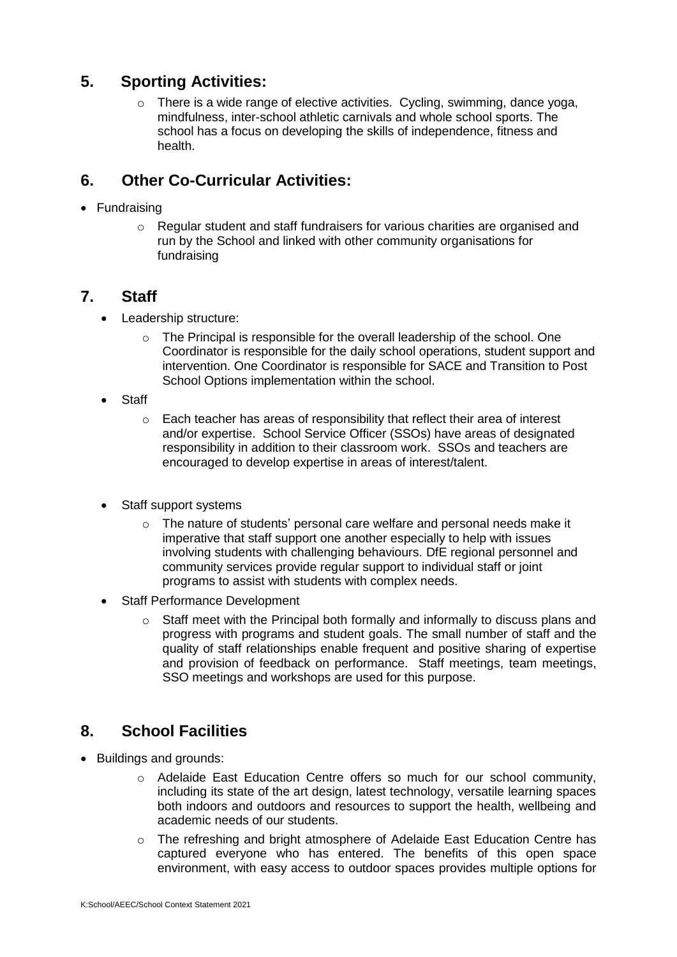# **5. Sporting Activities:**

 $\circ$  There is a wide range of elective activities. Cycling, swimming, dance yoga, mindfulness, inter-school athletic carnivals and whole school sports. The school has a focus on developing the skills of independence, fitness and health.

# **6. Other Co-Curricular Activities:**

- Fundraising
	- $\circ$  Regular student and staff fundraisers for various charities are organised and run by the School and linked with other community organisations for fundraising

# **7. Staff**

- Leadership structure:
	- $\circ$  The Principal is responsible for the overall leadership of the school. One Coordinator is responsible for the daily school operations, student support and intervention. One Coordinator is responsible for SACE and Transition to Post School Options implementation within the school.
- Staff
	- o Each teacher has areas of responsibility that reflect their area of interest and/or expertise. School Service Officer (SSOs) have areas of designated responsibility in addition to their classroom work. SSOs and teachers are encouraged to develop expertise in areas of interest/talent.
- Staff support systems
	- o The nature of students' personal care welfare and personal needs make it imperative that staff support one another especially to help with issues involving students with challenging behaviours. DfE regional personnel and community services provide regular support to individual staff or joint programs to assist with students with complex needs.
- Staff Performance Development
	- o Staff meet with the Principal both formally and informally to discuss plans and progress with programs and student goals. The small number of staff and the quality of staff relationships enable frequent and positive sharing of expertise and provision of feedback on performance. Staff meetings, team meetings, SSO meetings and workshops are used for this purpose.

# **8. School Facilities**

- Buildings and grounds:
	- o Adelaide East Education Centre offers so much for our school community, including its state of the art design, latest technology, versatile learning spaces both indoors and outdoors and resources to support the health, wellbeing and academic needs of our students.
	- $\circ$  The refreshing and bright atmosphere of Adelaide East Education Centre has captured everyone who has entered. The benefits of this open space environment, with easy access to outdoor spaces provides multiple options for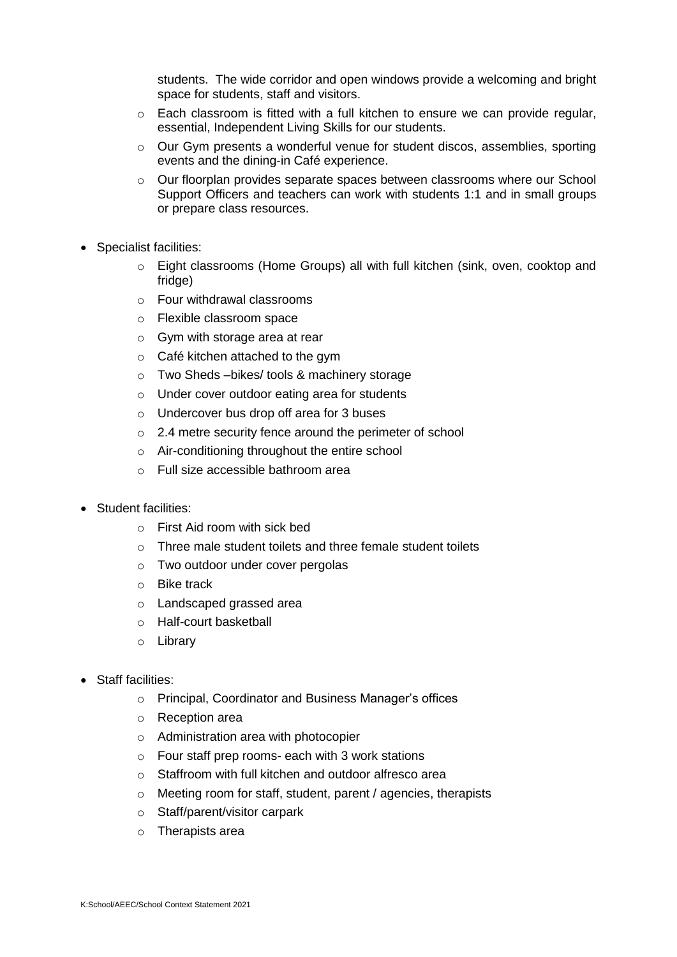students. The wide corridor and open windows provide a welcoming and bright space for students, staff and visitors.

- $\circ$  Each classroom is fitted with a full kitchen to ensure we can provide regular, essential, Independent Living Skills for our students.
- $\circ$  Our Gym presents a wonderful venue for student discos, assemblies, sporting events and the dining-in Café experience.
- o Our floorplan provides separate spaces between classrooms where our School Support Officers and teachers can work with students 1:1 and in small groups or prepare class resources.
- Specialist facilities:
	- o Eight classrooms (Home Groups) all with full kitchen (sink, oven, cooktop and fridge)
	- o Four withdrawal classrooms
	- o Flexible classroom space
	- $\circ$  Gym with storage area at rear
	- $\circ$  Café kitchen attached to the gym
	- o Two Sheds –bikes/ tools & machinery storage
	- o Under cover outdoor eating area for students
	- o Undercover bus drop off area for 3 buses
	- o 2.4 metre security fence around the perimeter of school
	- o Air-conditioning throughout the entire school
	- o Full size accessible bathroom area
- Student facilities:
	- $\circ$  First Aid room with sick bed
	- $\circ$  Three male student toilets and three female student toilets
	- o Two outdoor under cover pergolas
	- o Bike track
	- o Landscaped grassed area
	- o Half-court basketball
	- o Library
- Staff facilities:
	- o Principal, Coordinator and Business Manager's offices
	- o Reception area
	- o Administration area with photocopier
	- o Four staff prep rooms- each with 3 work stations
	- o Staffroom with full kitchen and outdoor alfresco area
	- o Meeting room for staff, student, parent / agencies, therapists
	- o Staff/parent/visitor carpark
	- o Therapists area